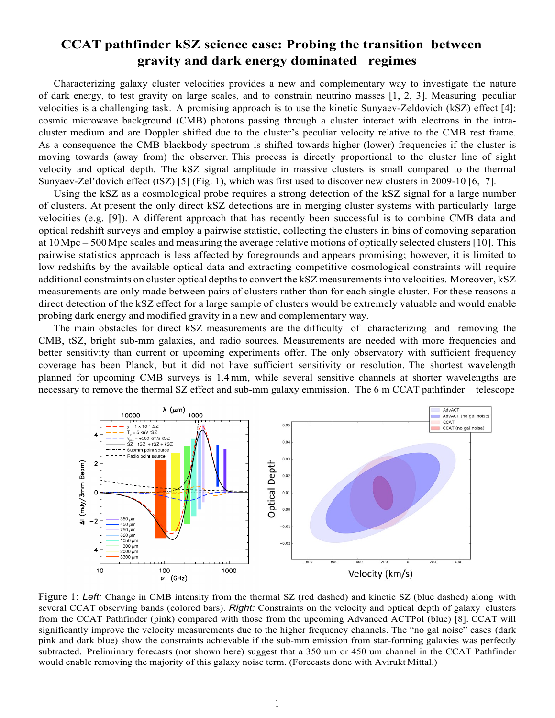## **CCAT pathfinder kSZ science case: Probing the transition between gravity and dark energy dominated regimes**

Characterizing galaxy cluster velocities provides a new and complementary way to investigate the nature of dark energy, to test gravity on large scales, and to constrain neutrino masses [1, 2, 3]. Measuring peculiar velocities is a challenging task. A promising approach is to use the kinetic Sunyaev-Zeldovich (kSZ) effect [4]: cosmic microwave background (CMB) photons passing through a cluster interact with electrons in the intracluster medium and are Doppler shifted due to the cluster's peculiar velocity relative to the CMB rest frame. As a consequence the CMB blackbody spectrum is shifted towards higher (lower) frequencies if the cluster is moving towards (away from) the observer. This process is directly proportional to the cluster line of sight velocity and optical depth. The kSZ signal amplitude in massive clusters is small compared to the thermal Sunyaev-Zel'dovich effect (tSZ) [5] (Fig. 1), which was first used to discover new clusters in 2009-10 [6, 7].

Using the kSZ as a cosmological probe requires a strong detection of the kSZ signal for a large number of clusters. At present the only direct kSZ detections are in merging cluster systems with particularly large velocities (e.g. [9]). A different approach that has recently been successful is to combine CMB data and optical redshift surveys and employ a pairwise statistic, collecting the clusters in bins of comoving separation at 10Mpc – 500Mpc scales and measuring the average relative motions of optically selected clusters [10]. This pairwise statistics approach is less affected by foregrounds and appears promising; however, it is limited to low redshifts by the available optical data and extracting competitive cosmological constraints will require additional constraints on cluster optical depths to convert the kSZ measurements into velocities. Moreover, kSZ measurements are only made between pairs of clusters rather than for each single cluster. For these reasons a direct detection of the kSZ effect for a large sample of clusters would be extremely valuable and would enable probing dark energy and modified gravity in a new and complementary way.

The main obstacles for direct kSZ measurements are the difficulty of characterizing and removing the CMB, tSZ, bright sub-mm galaxies, and radio sources. Measurements are needed with more frequencies and better sensitivity than current or upcoming experiments offer. The only observatory with sufficient frequency coverage has been Planck, but it did not have sufficient sensitivity or resolution. The shortest wavelength planned for upcoming CMB surveys is 1.4 mm, while several sensitive channels at shorter wavelengths are necessary to remove the thermal SZ effect and sub-mm galaxy emmission. The 6 m CCAT pathfinder telescope



Figure 1: Left: Change in CMB intensity from the thermal SZ (red dashed) and kinetic SZ (blue dashed) along with several CCAT observing bands (colored bars). *Right:* Constraints on the velocity and optical depth of galaxy clusters from the CCAT Pathfinder (pink) compared with those from the upcoming Advanced ACTPol (blue) [8]. CCAT will significantly improve the velocity measurements due to the higher frequency channels. The "no gal noise" cases (dark pink and dark blue) show the constraints achievable if the sub-mm emission from star-forming galaxies was perfectly subtracted. Preliminary forecasts (not shown here) suggest that a 350 um or 450 um channel in the CCAT Pathfinder would enable removing the majority of this galaxy noise term. (Forecasts done with Avirukt Mittal.)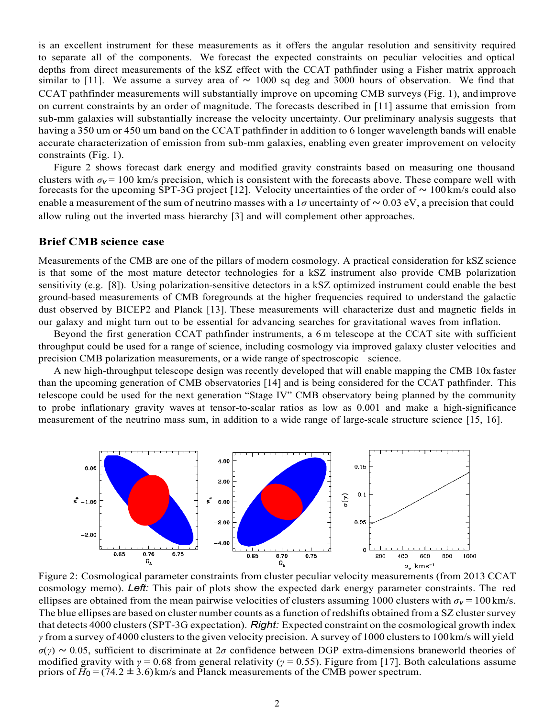is an excellent instrument for these measurements as it offers the angular resolution and sensitivity required to separate all of the components. We forecast the expected constraints on peculiar velocities and optical depths from direct measurements of the kSZ effect with the CCAT pathfinder using a Fisher matrix approach similar to [11]. We assume a survey area of  $\sim$  1000 sq deg and 3000 hours of observation. We find that CCAT pathfinder measurements will substantially improve on upcoming CMB surveys (Fig. 1), andimprove on current constraints by an order of magnitude. The forecasts described in [11] assume that emission from sub-mm galaxies will substantially increase the velocity uncertainty. Our preliminary analysis suggests that having a 350 um or 450 um band on the CCAT pathfinder in addition to 6 longer wavelength bands will enable accurate characterization of emission from sub-mm galaxies, enabling even greater improvement on velocity constraints (Fig. 1).

Figure 2 shows forecast dark energy and modified gravity constraints based on measuring one thousand clusters with  $\sigma$ *v* = 100 km/s precision, which is consistent with the forecasts above. These compare well with forecasts for the upcoming  $\text{SPT-3G}$  project [12]. Velocity uncertainties of the order of  $\sim 100 \text{ km/s}$  could also enable a measurement of the sum of neutrino masses with a 1*σ* uncertainty of *~* 0*.*03 eV, a precision that could allow ruling out the inverted mass hierarchy [3] and will complement other approaches.

## **Brief CMB science case**

Measurements of the CMB are one of the pillars of modern cosmology. A practical consideration for kSZ science is that some of the most mature detector technologies for a kSZ instrument also provide CMB polarization sensitivity (e.g. [8]). Using polarization-sensitive detectors in a kSZ optimized instrument could enable the best ground-based measurements of CMB foregrounds at the higher frequencies required to understand the galactic dust observed by BICEP2 and Planck [13]. These measurements will characterize dust and magnetic fields in our galaxy and might turn out to be essential for advancing searches for gravitational waves from inflation.

Beyond the first generation CCAT pathfinder instruments, a 6 m telescope at the CCAT site with sufficient throughput could be used for a range of science, including cosmology via improved galaxy cluster velocities and precision CMB polarization measurements, or a wide range of spectroscopic science.

A new high-throughput telescope design was recently developed that will enable mapping the CMB 10x faster than the upcoming generation of CMB observatories [14] and is being considered for the CCAT pathfinder. This telescope could be used for the next generation "Stage IV" CMB observatory being planned by the community to probe inflationary gravity waves at tensor-to-scalar ratios as low as 0.001 and make a high-significance measurement of the neutrino mass sum, in addition to a wide range of large-scale structure science [15, 16].



Figure 2: Cosmological parameter constraints from cluster peculiar velocity measurements (from 2013 CCAT cosmology memo). *Left:* This pair of plots show the expected dark energy parameter constraints. The red ellipses are obtained from the mean pairwise velocities of clusters assuming 1000 clusters with  $\sigma_{\rm V}$  = 100 km/s. The blue ellipses are based on cluster number counts as a function of redshifts obtained from a SZ cluster survey that detects 4000 clusters (SPT-3G expectation). *Right:* Expected constraint on the cosmological growth index *γ* from a survey of 4000 clustersto the given velocity precision. A survey of 1000 clustersto 100km/s will yield  $\sigma(\gamma) \sim 0.05$ , sufficient to discriminate at  $2\sigma$  confidence between DGP extra-dimensions braneworld theories of modified gravity with  $\gamma$  = 0.68 from general relativity ( $\gamma$  = 0.55). Figure from [17]. Both calculations assume priors of  $H_0 = (74.2 \pm 3.6)$  km/s and Planck measurements of the CMB power spectrum.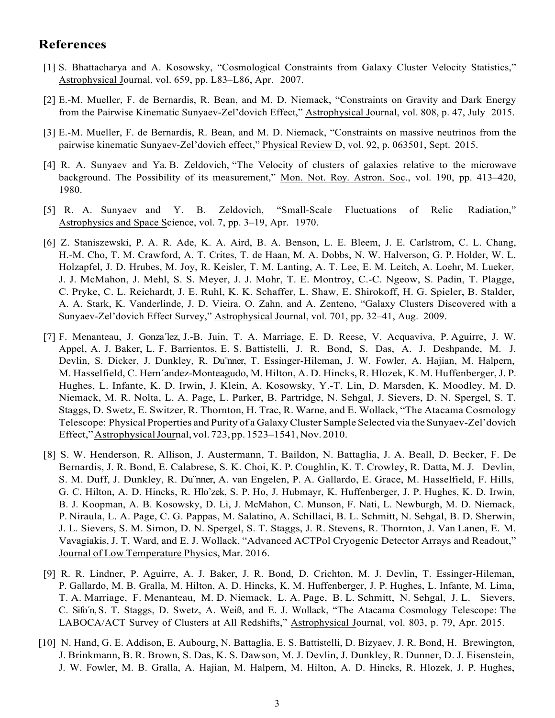## **References**

- [1] S. Bhattacharya and A. Kosowsky, "Cosmological Constraints from Galaxy Cluster Velocity Statistics," Astrophysical Journal, vol. 659, pp. L83–L86, Apr. 2007.
- [2] E.-M. Mueller, F. de Bernardis, R. Bean, and M. D. Niemack, "Constraints on Gravity and Dark Energy from the Pairwise Kinematic Sunyaev-Zel'dovich Effect," Astrophysical Journal, vol. 808, p. 47, July 2015.
- [3] E.-M. Mueller, F. de Bernardis, R. Bean, and M. D. Niemack, "Constraints on massive neutrinos from the pairwise kinematic Sunyaev-Zel'dovich effect," Physical Review D, vol. 92, p. 063501, Sept. 2015.
- [4] R. A. Sunyaev and Ya. B. Zeldovich, "The Velocity of clusters of galaxies relative to the microwave background. The Possibility of its measurement," Mon. Not. Roy. Astron. Soc., vol. 190, pp. 413–420, 1980.
- [5] R. A. Sunyaev and Y. B. Zeldovich, "Small-Scale Fluctuations of Relic Radiation," Astrophysics and Space Science, vol. 7, pp. 3–19, Apr. 1970.
- [6] Z. Staniszewski, P. A. R. Ade, K. A. Aird, B. A. Benson, L. E. Bleem, J. E. Carlstrom, C. L. Chang, H.-M. Cho, T. M. Crawford, A. T. Crites, T. de Haan, M. A. Dobbs, N. W. Halverson, G. P. Holder, W. L. Holzapfel, J. D. Hrubes, M. Joy, R. Keisler, T. M. Lanting, A. T. Lee, E. M. Leitch, A. Loehr, M. Lueker, J. J. McMahon, J. Mehl, S. S. Meyer, J. J. Mohr, T. E. Montroy, C.-C. Ngeow, S. Padin, T. Plagge, C. Pryke, C. L. Reichardt, J. E. Ruhl, K. K. Schaffer, L. Shaw, E. Shirokoff, H. G. Spieler, B. Stalder, A. A. Stark, K. Vanderlinde, J. D. Vieira, O. Zahn, and A. Zenteno, "Galaxy Clusters Discovered with a Sunyaev-Zel'dovich Effect Survey," Astrophysical Journal, vol. 701, pp. 32–41, Aug. 2009.
- [7] F. Menanteau, J. Gonza´lez, J.-B. Juin, T. A. Marriage, E. D. Reese, V. Acquaviva, P. Aguirre, J. W. Appel, A. J. Baker, L. F. Barrientos, E. S. Battistelli, J. R. Bond, S. Das, A. J. Deshpande, M. J. Devlin, S. Dicker, J. Dunkley, R. Du¨nner, T. Essinger-Hileman, J. W. Fowler, A. Hajian, M. Halpern, M. Hasselfield, C. Hern´andez-Monteagudo, M. Hilton, A. D. Hincks, R. Hlozek, K. M. Huffenberger,J. P. Hughes, L. Infante, K. D. Irwin, J. Klein, A. Kosowsky, Y.-T. Lin, D. Marsden, K. Moodley, M. D. Niemack, M. R. Nolta, L. A. Page, L. Parker, B. Partridge, N. Sehgal, J. Sievers, D. N. Spergel, S. T. Staggs, D. Swetz, E. Switzer, R. Thornton, H. Trac, R. Warne, and E. Wollack, "The Atacama Cosmology Telescope: Physical Properties and Purity of a GalaxyCluster Sample Selected via the Sunyaev-Zel'dovich Effect," Astrophysical Journal, vol. 723, pp. 1523–1541, Nov. 2010.
- [8] S. W. Henderson, R. Allison, J. Austermann, T. Baildon, N. Battaglia, J. A. Beall, D. Becker, F. De Bernardis, J. R. Bond, E. Calabrese, S. K. Choi, K. P. Coughlin, K. T. Crowley, R. Datta, M. J. Devlin, S. M. Duff, J. Dunkley, R. Du¨nner, A. van Engelen, P. A. Gallardo, E. Grace, M. Hasselfield, F. Hills, G. C. Hilton, A. D. Hincks, R. Hloˆzek, S. P. Ho, J. Hubmayr, K. Huffenberger, J. P. Hughes, K. D. Irwin, B. J. Koopman, A. B. Kosowsky, D. Li, J. McMahon, C. Munson, F. Nati, L. Newburgh, M. D. Niemack, P. Niraula, L. A. Page, C. G. Pappas, M. Salatino, A. Schillaci, B. L. Schmitt, N. Sehgal, B. D. Sherwin, J. L. Sievers, S. M. Simon, D. N. Spergel, S. T. Staggs, J. R. Stevens, R. Thornton, J. Van Lanen, E. M. Vavagiakis, J. T. Ward, and E. J. Wollack, "Advanced ACTPol Cryogenic Detector Arrays and Readout," Journal of Low Temperature Physics, Mar. 2016.
- [9] R. R. Lindner, P. Aguirre, A. J. Baker, J. R. Bond, D. Crichton, M. J. Devlin, T. Essinger-Hileman, P. Gallardo, M. B. Gralla, M. Hilton, A. D. Hincks, K. M. Huffenberger, J. P. Hughes, L. Infante, M. Lima, T. A. Marriage, F. Menanteau, M. D. Niemack, L. A. Page, B. L. Schmitt, N. Sehgal, J. L. Sievers, C. Sifo´n, S. T. Staggs, D. Swetz, A. Weiß, and E. J. Wollack, "The Atacama Cosmology Telescope: The LABOCA/ACT Survey of Clusters at All Redshifts," Astrophysical Journal, vol. 803, p. 79, Apr. 2015.
- [10] N. Hand, G. E. Addison, E. Aubourg, N. Battaglia, E. S. Battistelli, D. Bizyaev, J. R. Bond, H. Brewington, J. Brinkmann, B. R. Brown, S. Das, K. S. Dawson, M. J. Devlin, J. Dunkley, R. Dunner, D. J. Eisenstein, J. W. Fowler, M. B. Gralla, A. Hajian, M. Halpern, M. Hilton, A. D. Hincks, R. Hlozek, J. P. Hughes,